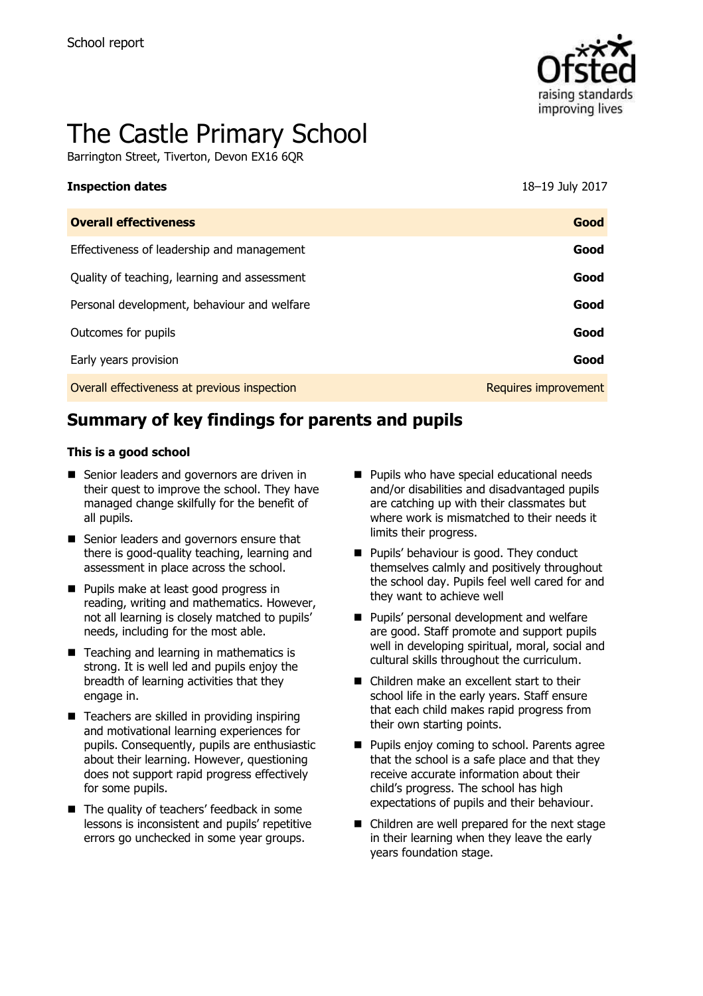

# The Castle Primary School

Barrington Street, Tiverton, Devon EX16 6QR

#### **Inspection dates** 18–19 July 2017

| <b>Overall effectiveness</b>                 | Good                        |
|----------------------------------------------|-----------------------------|
| Effectiveness of leadership and management   | Good                        |
| Quality of teaching, learning and assessment | Good                        |
| Personal development, behaviour and welfare  | Good                        |
| Outcomes for pupils                          | Good                        |
| Early years provision                        | Good                        |
| Overall effectiveness at previous inspection | <b>Requires improvement</b> |
|                                              |                             |

# **Summary of key findings for parents and pupils**

#### **This is a good school**

- Senior leaders and governors are driven in their quest to improve the school. They have managed change skilfully for the benefit of all pupils.
- Senior leaders and governors ensure that there is good-quality teaching, learning and assessment in place across the school.
- **Pupils make at least good progress in** reading, writing and mathematics. However, not all learning is closely matched to pupils' needs, including for the most able.
- Teaching and learning in mathematics is strong. It is well led and pupils enjoy the breadth of learning activities that they engage in.
- $\blacksquare$  Teachers are skilled in providing inspiring and motivational learning experiences for pupils. Consequently, pupils are enthusiastic about their learning. However, questioning does not support rapid progress effectively for some pupils.
- The quality of teachers' feedback in some lessons is inconsistent and pupils' repetitive errors go unchecked in some year groups.
- **Pupils who have special educational needs** and/or disabilities and disadvantaged pupils are catching up with their classmates but where work is mismatched to their needs it limits their progress.
- **Pupils' behaviour is good. They conduct** themselves calmly and positively throughout the school day. Pupils feel well cared for and they want to achieve well
- **Pupils' personal development and welfare** are good. Staff promote and support pupils well in developing spiritual, moral, social and cultural skills throughout the curriculum.
- Children make an excellent start to their school life in the early years. Staff ensure that each child makes rapid progress from their own starting points.
- **Pupils enjoy coming to school. Parents agree** that the school is a safe place and that they receive accurate information about their child's progress. The school has high expectations of pupils and their behaviour.
- Children are well prepared for the next stage in their learning when they leave the early years foundation stage.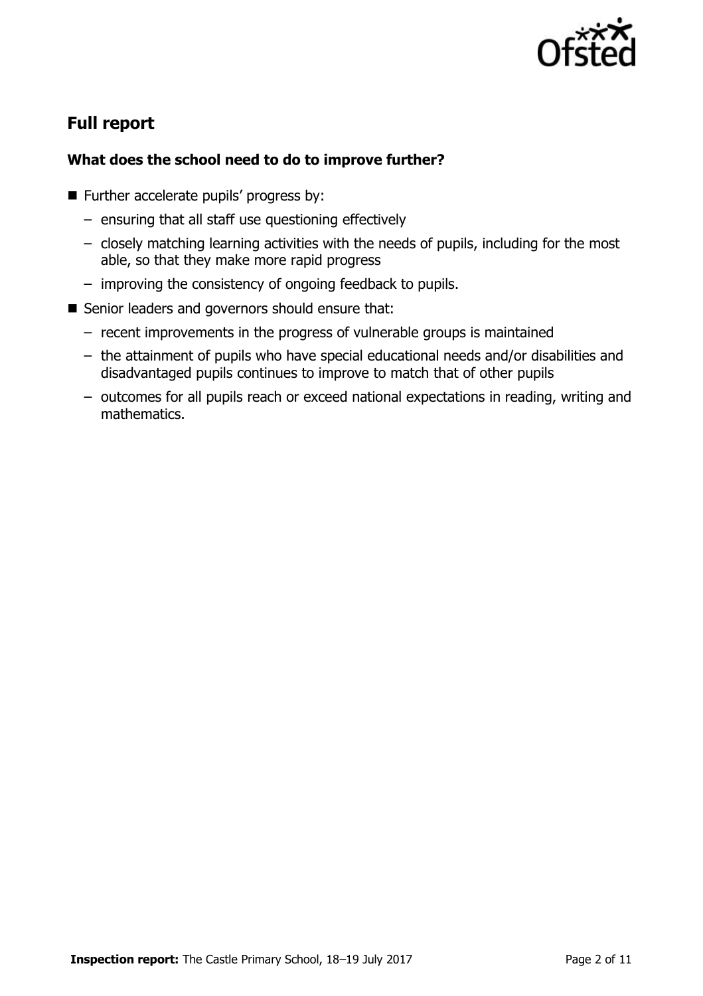

# **Full report**

## **What does the school need to do to improve further?**

- Further accelerate pupils' progress by:
	- ensuring that all staff use questioning effectively
	- closely matching learning activities with the needs of pupils, including for the most able, so that they make more rapid progress
	- improving the consistency of ongoing feedback to pupils.
- Senior leaders and governors should ensure that:
	- recent improvements in the progress of vulnerable groups is maintained
	- the attainment of pupils who have special educational needs and/or disabilities and disadvantaged pupils continues to improve to match that of other pupils
	- outcomes for all pupils reach or exceed national expectations in reading, writing and mathematics.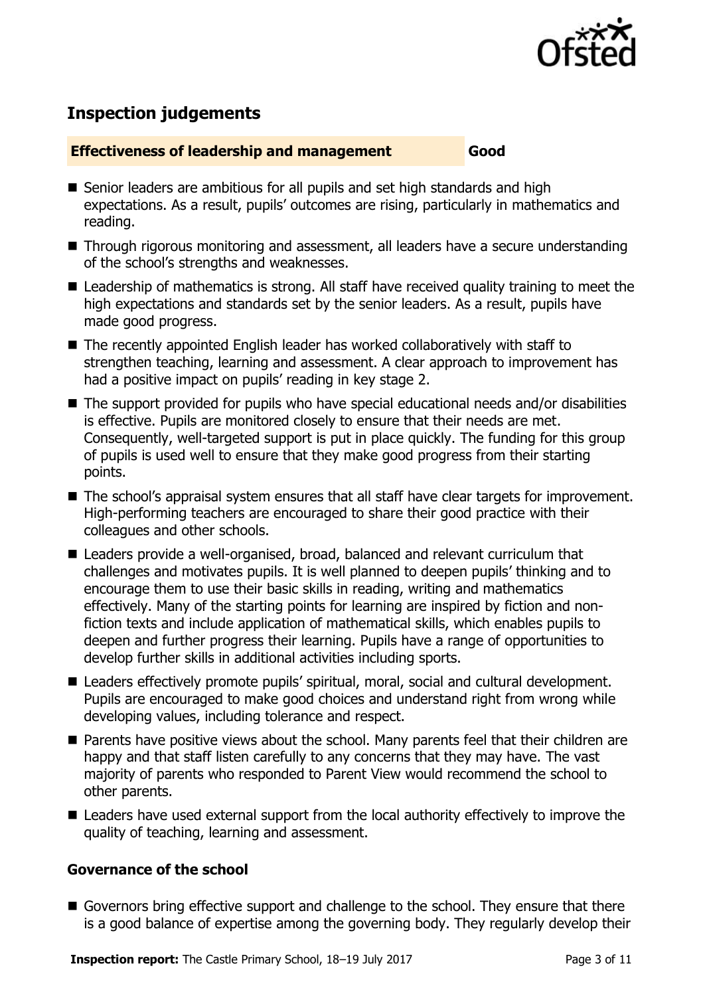

# **Inspection judgements**

#### **Effectiveness of leadership and management Good**

- Senior leaders are ambitious for all pupils and set high standards and high expectations. As a result, pupils' outcomes are rising, particularly in mathematics and reading.
- Through rigorous monitoring and assessment, all leaders have a secure understanding of the school's strengths and weaknesses.
- Leadership of mathematics is strong. All staff have received quality training to meet the high expectations and standards set by the senior leaders. As a result, pupils have made good progress.
- The recently appointed English leader has worked collaboratively with staff to strengthen teaching, learning and assessment. A clear approach to improvement has had a positive impact on pupils' reading in key stage 2.
- The support provided for pupils who have special educational needs and/or disabilities is effective. Pupils are monitored closely to ensure that their needs are met. Consequently, well-targeted support is put in place quickly. The funding for this group of pupils is used well to ensure that they make good progress from their starting points.
- The school's appraisal system ensures that all staff have clear targets for improvement. High-performing teachers are encouraged to share their good practice with their colleagues and other schools.
- Leaders provide a well-organised, broad, balanced and relevant curriculum that challenges and motivates pupils. It is well planned to deepen pupils' thinking and to encourage them to use their basic skills in reading, writing and mathematics effectively. Many of the starting points for learning are inspired by fiction and nonfiction texts and include application of mathematical skills, which enables pupils to deepen and further progress their learning. Pupils have a range of opportunities to develop further skills in additional activities including sports.
- Leaders effectively promote pupils' spiritual, moral, social and cultural development. Pupils are encouraged to make good choices and understand right from wrong while developing values, including tolerance and respect.
- **Parents have positive views about the school. Many parents feel that their children are** happy and that staff listen carefully to any concerns that they may have. The vast majority of parents who responded to Parent View would recommend the school to other parents.
- Leaders have used external support from the local authority effectively to improve the quality of teaching, learning and assessment.

### **Governance of the school**

Governors bring effective support and challenge to the school. They ensure that there is a good balance of expertise among the governing body. They regularly develop their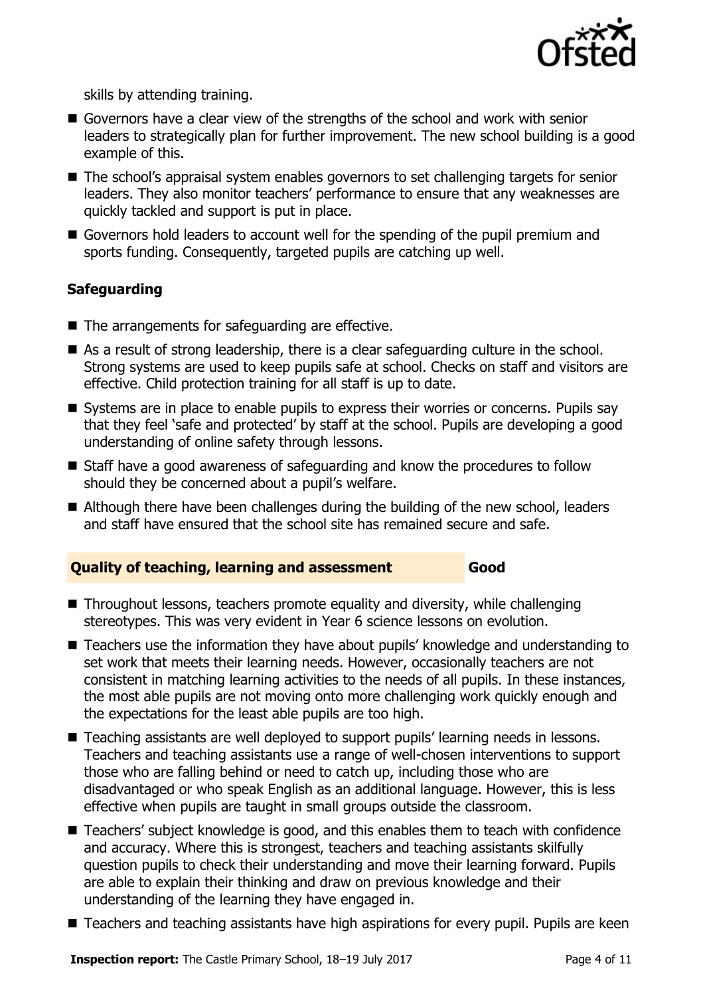

skills by attending training.

- Governors have a clear view of the strengths of the school and work with senior leaders to strategically plan for further improvement. The new school building is a good example of this.
- The school's appraisal system enables governors to set challenging targets for senior leaders. They also monitor teachers' performance to ensure that any weaknesses are quickly tackled and support is put in place.
- Governors hold leaders to account well for the spending of the pupil premium and sports funding. Consequently, targeted pupils are catching up well.

### **Safeguarding**

- $\blacksquare$  The arrangements for safeguarding are effective.
- As a result of strong leadership, there is a clear safeguarding culture in the school. Strong systems are used to keep pupils safe at school. Checks on staff and visitors are effective. Child protection training for all staff is up to date.
- Systems are in place to enable pupils to express their worries or concerns. Pupils say that they feel 'safe and protected' by staff at the school. Pupils are developing a good understanding of online safety through lessons.
- Staff have a good awareness of safeguarding and know the procedures to follow should they be concerned about a pupil's welfare.
- Although there have been challenges during the building of the new school, leaders and staff have ensured that the school site has remained secure and safe.

### **Quality of teaching, learning and assessment Good**

- Throughout lessons, teachers promote equality and diversity, while challenging stereotypes. This was very evident in Year 6 science lessons on evolution.
- Teachers use the information they have about pupils' knowledge and understanding to set work that meets their learning needs. However, occasionally teachers are not consistent in matching learning activities to the needs of all pupils. In these instances, the most able pupils are not moving onto more challenging work quickly enough and the expectations for the least able pupils are too high.
- Teaching assistants are well deployed to support pupils' learning needs in lessons. Teachers and teaching assistants use a range of well-chosen interventions to support those who are falling behind or need to catch up, including those who are disadvantaged or who speak English as an additional language. However, this is less effective when pupils are taught in small groups outside the classroom.
- Teachers' subject knowledge is good, and this enables them to teach with confidence and accuracy. Where this is strongest, teachers and teaching assistants skilfully question pupils to check their understanding and move their learning forward. Pupils are able to explain their thinking and draw on previous knowledge and their understanding of the learning they have engaged in.
- Teachers and teaching assistants have high aspirations for every pupil. Pupils are keen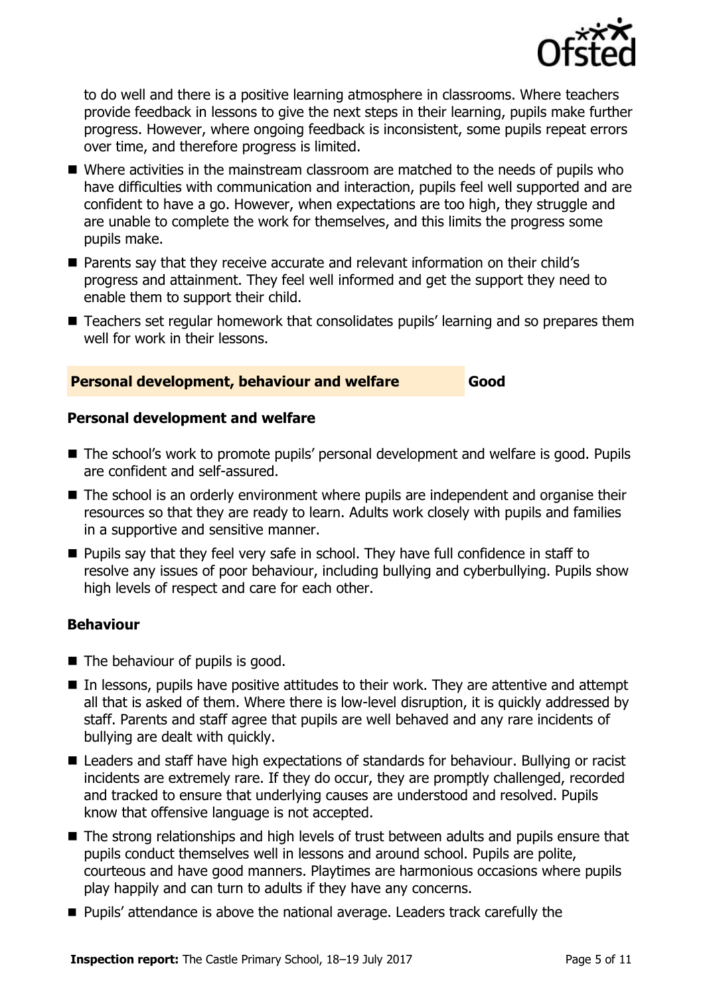

to do well and there is a positive learning atmosphere in classrooms. Where teachers provide feedback in lessons to give the next steps in their learning, pupils make further progress. However, where ongoing feedback is inconsistent, some pupils repeat errors over time, and therefore progress is limited.

- Where activities in the mainstream classroom are matched to the needs of pupils who have difficulties with communication and interaction, pupils feel well supported and are confident to have a go. However, when expectations are too high, they struggle and are unable to complete the work for themselves, and this limits the progress some pupils make.
- Parents say that they receive accurate and relevant information on their child's progress and attainment. They feel well informed and get the support they need to enable them to support their child.
- Teachers set regular homework that consolidates pupils' learning and so prepares them well for work in their lessons.

#### **Personal development, behaviour and welfare Good**

#### **Personal development and welfare**

- The school's work to promote pupils' personal development and welfare is good. Pupils are confident and self-assured.
- The school is an orderly environment where pupils are independent and organise their resources so that they are ready to learn. Adults work closely with pupils and families in a supportive and sensitive manner.
- **Pupils say that they feel very safe in school. They have full confidence in staff to** resolve any issues of poor behaviour, including bullying and cyberbullying. Pupils show high levels of respect and care for each other.

#### **Behaviour**

- The behaviour of pupils is good.
- In lessons, pupils have positive attitudes to their work. They are attentive and attempt all that is asked of them. Where there is low-level disruption, it is quickly addressed by staff. Parents and staff agree that pupils are well behaved and any rare incidents of bullying are dealt with quickly.
- Leaders and staff have high expectations of standards for behaviour. Bullying or racist incidents are extremely rare. If they do occur, they are promptly challenged, recorded and tracked to ensure that underlying causes are understood and resolved. Pupils know that offensive language is not accepted.
- The strong relationships and high levels of trust between adults and pupils ensure that pupils conduct themselves well in lessons and around school. Pupils are polite, courteous and have good manners. Playtimes are harmonious occasions where pupils play happily and can turn to adults if they have any concerns.
- **Pupils'** attendance is above the national average. Leaders track carefully the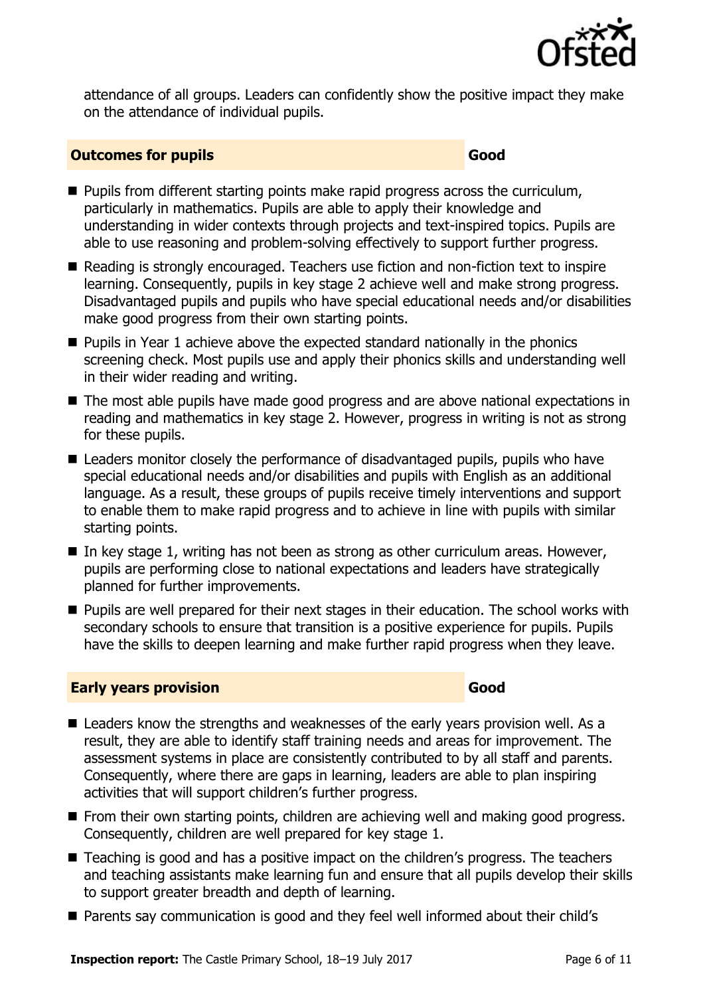

attendance of all groups. Leaders can confidently show the positive impact they make on the attendance of individual pupils.

#### **Outcomes for pupils Good Good**

- **Pupils from different starting points make rapid progress across the curriculum,** particularly in mathematics. Pupils are able to apply their knowledge and understanding in wider contexts through projects and text-inspired topics. Pupils are able to use reasoning and problem-solving effectively to support further progress.
- Reading is strongly encouraged. Teachers use fiction and non-fiction text to inspire learning. Consequently, pupils in key stage 2 achieve well and make strong progress. Disadvantaged pupils and pupils who have special educational needs and/or disabilities make good progress from their own starting points.
- $\blacksquare$  Pupils in Year 1 achieve above the expected standard nationally in the phonics screening check. Most pupils use and apply their phonics skills and understanding well in their wider reading and writing.
- The most able pupils have made good progress and are above national expectations in reading and mathematics in key stage 2. However, progress in writing is not as strong for these pupils.
- Leaders monitor closely the performance of disadvantaged pupils, pupils who have special educational needs and/or disabilities and pupils with English as an additional language. As a result, these groups of pupils receive timely interventions and support to enable them to make rapid progress and to achieve in line with pupils with similar starting points.
- In key stage 1, writing has not been as strong as other curriculum areas. However, pupils are performing close to national expectations and leaders have strategically planned for further improvements.
- **Pupils are well prepared for their next stages in their education. The school works with** secondary schools to ensure that transition is a positive experience for pupils. Pupils have the skills to deepen learning and make further rapid progress when they leave.

### **Early years provision Good Good**

- Leaders know the strengths and weaknesses of the early years provision well. As a result, they are able to identify staff training needs and areas for improvement. The assessment systems in place are consistently contributed to by all staff and parents. Consequently, where there are gaps in learning, leaders are able to plan inspiring activities that will support children's further progress.
- **From their own starting points, children are achieving well and making good progress.** Consequently, children are well prepared for key stage 1.
- Teaching is good and has a positive impact on the children's progress. The teachers and teaching assistants make learning fun and ensure that all pupils develop their skills to support greater breadth and depth of learning.
- Parents say communication is good and they feel well informed about their child's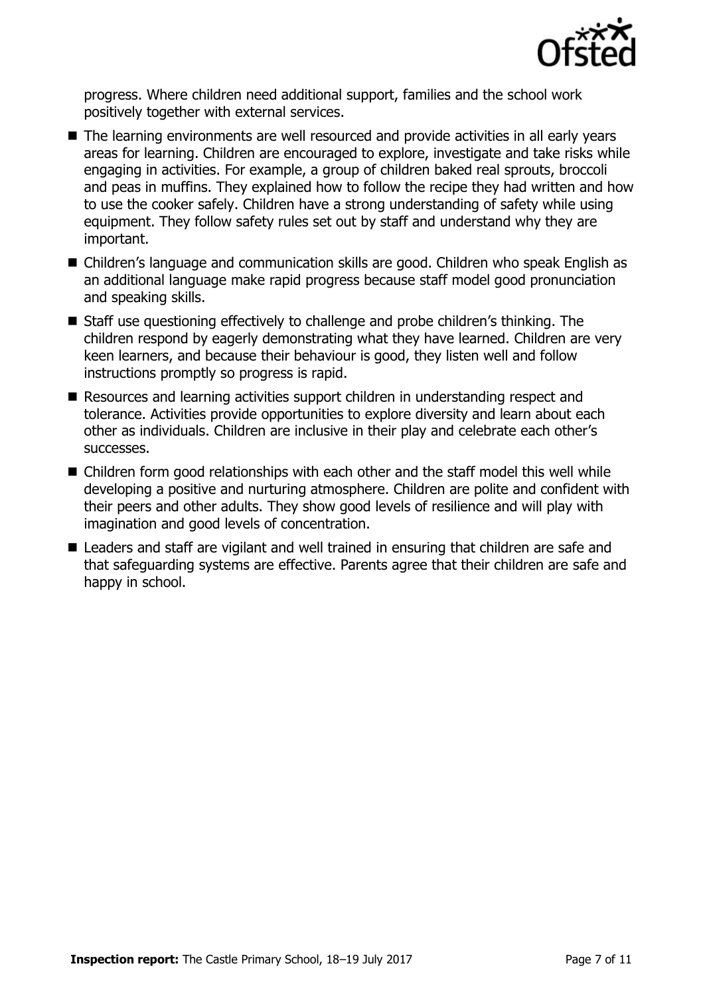

progress. Where children need additional support, families and the school work positively together with external services.

- The learning environments are well resourced and provide activities in all early vears areas for learning. Children are encouraged to explore, investigate and take risks while engaging in activities. For example, a group of children baked real sprouts, broccoli and peas in muffins. They explained how to follow the recipe they had written and how to use the cooker safely. Children have a strong understanding of safety while using equipment. They follow safety rules set out by staff and understand why they are important.
- Children's language and communication skills are good. Children who speak English as an additional language make rapid progress because staff model good pronunciation and speaking skills.
- Staff use questioning effectively to challenge and probe children's thinking. The children respond by eagerly demonstrating what they have learned. Children are very keen learners, and because their behaviour is good, they listen well and follow instructions promptly so progress is rapid.
- Resources and learning activities support children in understanding respect and tolerance. Activities provide opportunities to explore diversity and learn about each other as individuals. Children are inclusive in their play and celebrate each other's successes.
- Children form good relationships with each other and the staff model this well while developing a positive and nurturing atmosphere. Children are polite and confident with their peers and other adults. They show good levels of resilience and will play with imagination and good levels of concentration.
- Leaders and staff are vigilant and well trained in ensuring that children are safe and that safeguarding systems are effective. Parents agree that their children are safe and happy in school.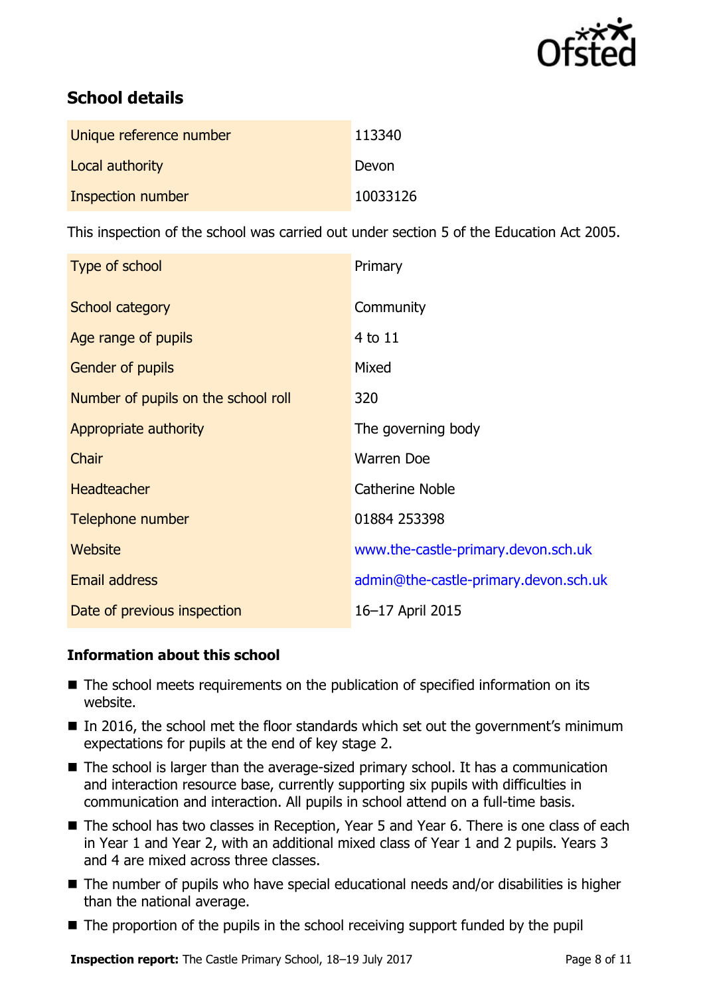

# **School details**

| Unique reference number | 113340   |
|-------------------------|----------|
| Local authority         | Devon    |
| Inspection number       | 10033126 |

This inspection of the school was carried out under section 5 of the Education Act 2005.

| Type of school                      | Primary                               |
|-------------------------------------|---------------------------------------|
| School category                     | Community                             |
| Age range of pupils                 | $4$ to $11$                           |
| <b>Gender of pupils</b>             | Mixed                                 |
| Number of pupils on the school roll | 320                                   |
| Appropriate authority               | The governing body                    |
| Chair                               | <b>Warren Doe</b>                     |
| <b>Headteacher</b>                  | <b>Catherine Noble</b>                |
| Telephone number                    | 01884 253398                          |
| Website                             | www.the-castle-primary.devon.sch.uk   |
| <b>Email address</b>                | admin@the-castle-primary.devon.sch.uk |
| Date of previous inspection         | 16-17 April 2015                      |

### **Information about this school**

- The school meets requirements on the publication of specified information on its website.
- In 2016, the school met the floor standards which set out the government's minimum expectations for pupils at the end of key stage 2.
- $\blacksquare$  The school is larger than the average-sized primary school. It has a communication and interaction resource base, currently supporting six pupils with difficulties in communication and interaction. All pupils in school attend on a full-time basis.
- The school has two classes in Reception, Year 5 and Year 6. There is one class of each in Year 1 and Year 2, with an additional mixed class of Year 1 and 2 pupils. Years 3 and 4 are mixed across three classes.
- The number of pupils who have special educational needs and/or disabilities is higher than the national average.
- The proportion of the pupils in the school receiving support funded by the pupil

**Inspection report:** The Castle Primary School, 18–19 July 2017 **Page 8 of 11**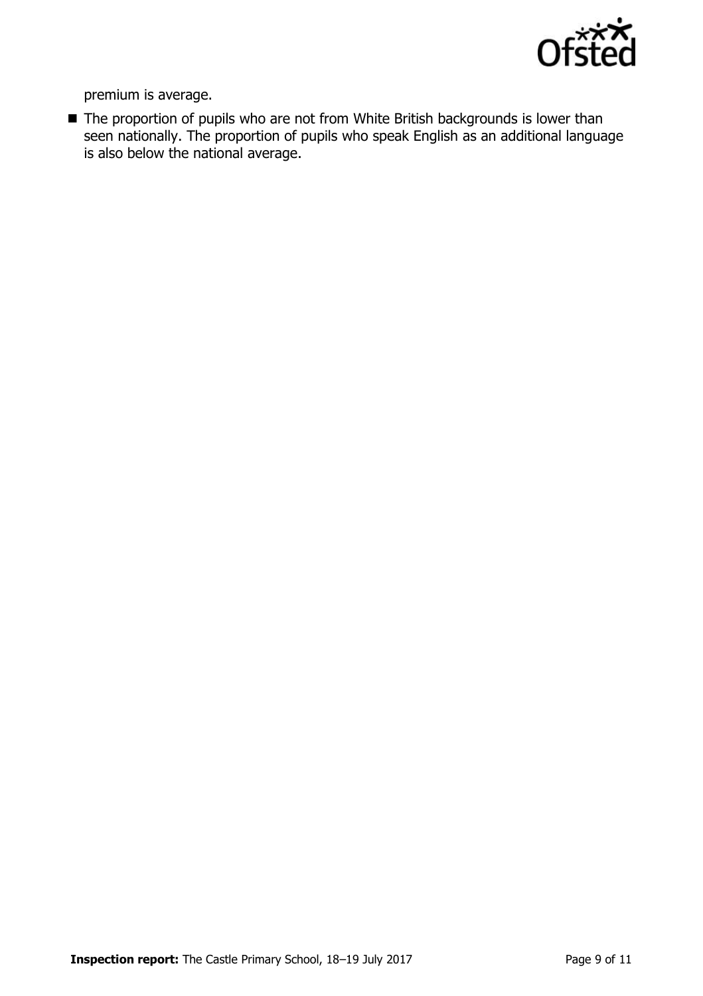

premium is average.

■ The proportion of pupils who are not from White British backgrounds is lower than seen nationally. The proportion of pupils who speak English as an additional language is also below the national average.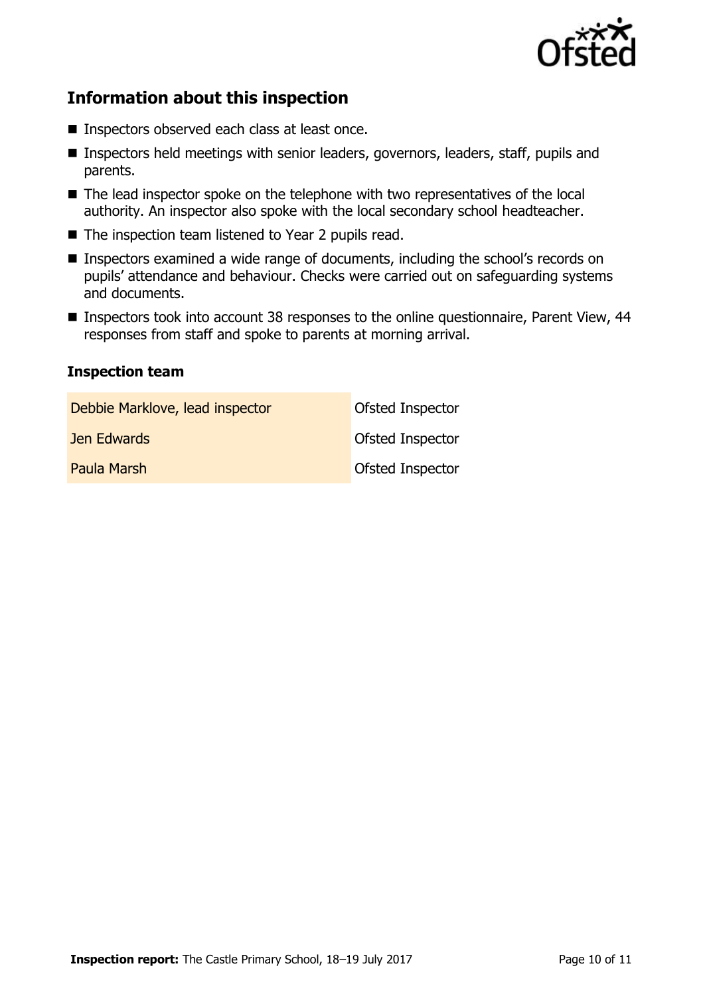

# **Information about this inspection**

- Inspectors observed each class at least once.
- **Inspectors held meetings with senior leaders, governors, leaders, staff, pupils and** parents.
- The lead inspector spoke on the telephone with two representatives of the local authority. An inspector also spoke with the local secondary school headteacher.
- The inspection team listened to Year 2 pupils read.
- Inspectors examined a wide range of documents, including the school's records on pupils' attendance and behaviour. Checks were carried out on safeguarding systems and documents.
- Inspectors took into account 38 responses to the online questionnaire, Parent View, 44 responses from staff and spoke to parents at morning arrival.

#### **Inspection team**

| Debbie Marklove, lead inspector | <b>Ofsted Inspector</b> |
|---------------------------------|-------------------------|
| Jen Edwards                     | <b>Ofsted Inspector</b> |
| Paula Marsh                     | <b>Ofsted Inspector</b> |